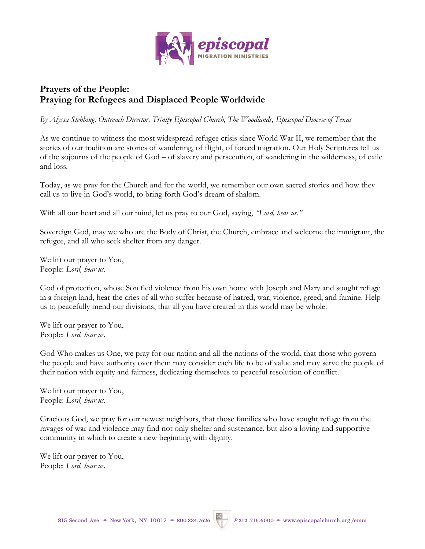

## **Prayers of the People: Praying for Refugees and Displaced People Worldwide**

*By Alyssa Stebbing, Outreach Director, Trinity Episcopal Church, The Woodlands, Episcopal Diocese of Texas*

As we continue to witness the most widespread refugee crisis since World War II, we remember that the stories of our tradition are stories of wandering, of flight, of forced migration. Our Holy Scriptures tell us of the sojourns of the people of God – of slavery and persecution, of wandering in the wilderness, of exile and loss.

Today, as we pray for the Church and for the world, we remember our own sacred stories and how they call us to live in God's world, to bring forth God's dream of shalom.

With all our heart and all our mind, let us pray to our God, saying, *"Lord, hear us."*

Sovereign God, may we who are the Body of Christ, the Church, embrace and welcome the immigrant, the refugee, and all who seek shelter from any danger.

We lift our prayer to You, People: *Lord, hear us.*

God of protection, whose Son fled violence from his own home with Joseph and Mary and sought refuge in a foreign land, hear the cries of all who suffer because of hatred, war, violence, greed, and famine. Help us to peacefully mend our divisions, that all you have created in this world may be whole.

We lift our prayer to You, People: *Lord, hear us.*

God Who makes us One, we pray for our nation and all the nations of the world, that those who govern the people and have authority over them may consider each life to be of value and may serve the people of their nation with equity and fairness, dedicating themselves to peaceful resolution of conflict.

We lift our prayer to You, People: *Lord, hear us.*

Gracious God, we pray for our newest neighbors, that those families who have sought refuge from the ravages of war and violence may find not only shelter and sustenance, but also a loving and supportive community in which to create a new beginning with dignity.

We lift our prayer to You, People: *Lord, hear us.*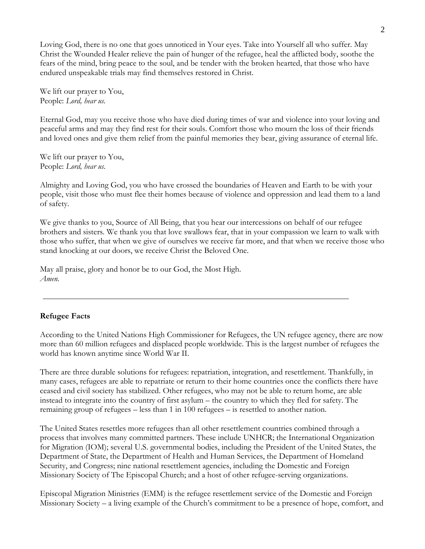Loving God, there is no one that goes unnoticed in Your eyes. Take into Yourself all who suffer. May Christ the Wounded Healer relieve the pain of hunger of the refugee, heal the afflicted body, soothe the fears of the mind, bring peace to the soul, and be tender with the broken hearted, that those who have endured unspeakable trials may find themselves restored in Christ.

We lift our prayer to You, People: *Lord, hear us.*

Eternal God, may you receive those who have died during times of war and violence into your loving and peaceful arms and may they find rest for their souls. Comfort those who mourn the loss of their friends and loved ones and give them relief from the painful memories they bear, giving assurance of eternal life.

We lift our prayer to You, People: *Lord, hear us.*

Almighty and Loving God, you who have crossed the boundaries of Heaven and Earth to be with your people, visit those who must flee their homes because of violence and oppression and lead them to a land of safety.

We give thanks to you, Source of All Being, that you hear our intercessions on behalf of our refugee brothers and sisters. We thank you that love swallows fear, that in your compassion we learn to walk with those who suffer, that when we give of ourselves we receive far more, and that when we receive those who stand knocking at our doors, we receive Christ the Beloved One.

May all praise, glory and honor be to our God, the Most High. *Amen.*

## **Refugee Facts**

According to the United Nations High Commissioner for Refugees, the UN refugee agency, there are now more than 60 million refugees and displaced people worldwide. This is the largest number of refugees the world has known anytime since World War II.

There are three durable solutions for refugees: repatriation, integration, and resettlement. Thankfully, in many cases, refugees are able to repatriate or return to their home countries once the conflicts there have ceased and civil society has stabilized. Other refugees, who may not be able to return home, are able instead to integrate into the country of first asylum – the country to which they fled for safety. The remaining group of refugees – less than 1 in 100 refugees – is resettled to another nation.

The United States resettles more refugees than all other resettlement countries combined through a process that involves many committed partners. These include UNHCR; the International Organization for Migration (IOM); several U.S. governmental bodies, including the President of the United States, the Department of State, the Department of Health and Human Services, the Department of Homeland Security, and Congress; nine national resettlement agencies, including the Domestic and Foreign Missionary Society of The Episcopal Church; and a host of other refugee-serving organizations.

Episcopal Migration Ministries (EMM) is the refugee resettlement service of the Domestic and Foreign Missionary Society – a living example of the Church's commitment to be a presence of hope, comfort, and